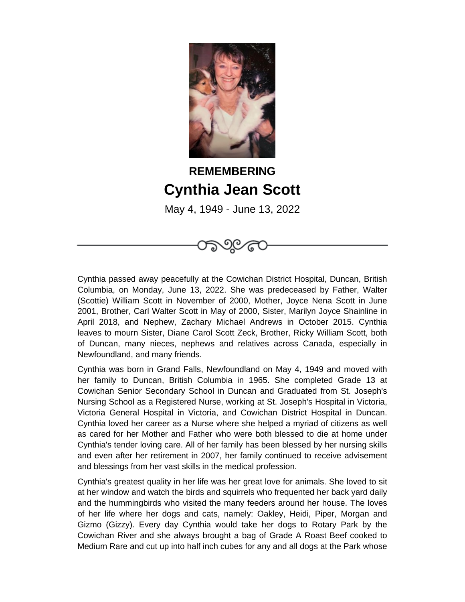

## **REMEMBERING Cynthia Jean Scott**

May 4, 1949 - June 13, 2022

Cynthia passed away peacefully at the Cowichan District Hospital, Duncan, British Columbia, on Monday, June 13, 2022. She was predeceased by Father, Walter (Scottie) William Scott in November of 2000, Mother, Joyce Nena Scott in June 2001, Brother, Carl Walter Scott in May of 2000, Sister, Marilyn Joyce Shainline in April 2018, and Nephew, Zachary Michael Andrews in October 2015. Cynthia leaves to mourn Sister, Diane Carol Scott Zeck, Brother, Ricky William Scott, both of Duncan, many nieces, nephews and relatives across Canada, especially in Newfoundland, and many friends.

Cynthia was born in Grand Falls, Newfoundland on May 4, 1949 and moved with her family to Duncan, British Columbia in 1965. She completed Grade 13 at Cowichan Senior Secondary School in Duncan and Graduated from St. Joseph's Nursing School as a Registered Nurse, working at St. Joseph's Hospital in Victoria, Victoria General Hospital in Victoria, and Cowichan District Hospital in Duncan. Cynthia loved her career as a Nurse where she helped a myriad of citizens as well as cared for her Mother and Father who were both blessed to die at home under Cynthia's tender loving care. All of her family has been blessed by her nursing skills and even after her retirement in 2007, her family continued to receive advisement and blessings from her vast skills in the medical profession.

Cynthia's greatest quality in her life was her great love for animals. She loved to sit at her window and watch the birds and squirrels who frequented her back yard daily and the hummingbirds who visited the many feeders around her house. The loves of her life where her dogs and cats, namely: Oakley, Heidi, Piper, Morgan and Gizmo (Gizzy). Every day Cynthia would take her dogs to Rotary Park by the Cowichan River and she always brought a bag of Grade A Roast Beef cooked to Medium Rare and cut up into half inch cubes for any and all dogs at the Park whose